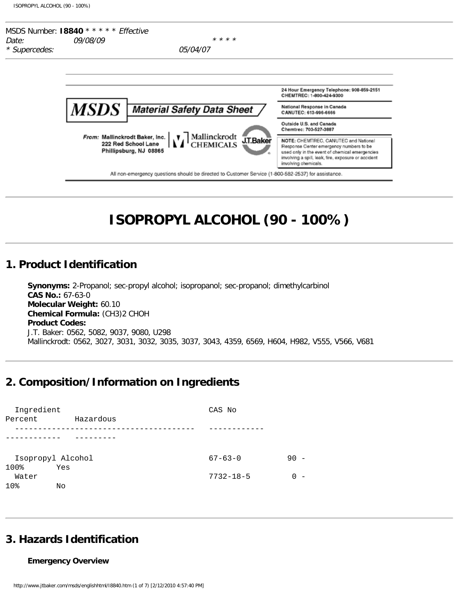| ISOPROPYL ALCOHOL (90 - 100%) |                                                                                                     |                                                                                                                      |                                                                                                                                                                                                                  |  |  |  |  |
|-------------------------------|-----------------------------------------------------------------------------------------------------|----------------------------------------------------------------------------------------------------------------------|------------------------------------------------------------------------------------------------------------------------------------------------------------------------------------------------------------------|--|--|--|--|
| <i>Date:</i><br>* Supercedes: | MSDS Number: 18840 * * * * * Effective<br><i>09/08/09</i>                                           | $* * * *$<br><i>05/04/07</i>                                                                                         |                                                                                                                                                                                                                  |  |  |  |  |
|                               |                                                                                                     |                                                                                                                      | 24 Hour Emergency Telephone: 908-859-2151<br>CHEMTREC: 1-800-424-9300                                                                                                                                            |  |  |  |  |
|                               | <b>MSDS</b>                                                                                         | <b>Material Safety Data Sheet</b>                                                                                    | National Response in Canada<br>CANUTEC: 613-996-6666                                                                                                                                                             |  |  |  |  |
|                               |                                                                                                     |                                                                                                                      | Outside U.S. and Canada<br>Chemtrec: 703-527-3887                                                                                                                                                                |  |  |  |  |
|                               |                                                                                                     | From: Mallinckrodt Baker, Inc. Mallinckrodt<br>222 Red School Lane MCHEMICALS<br>J.T.Baker<br>Phillipsburg, NJ 08865 | NOTE: CHEMTREC, CANUTEC and National<br>Response Center emergency numbers to be<br>used only in the event of chemical emergencies<br>involving a spill, leak, fire, exposure or accident<br>involving chemicals. |  |  |  |  |
|                               | All non-emergency questions should be directed to Customer Service (1-800-582-2537) for assistance. |                                                                                                                      |                                                                                                                                                                                                                  |  |  |  |  |

# **ISOPROPYL ALCOHOL (90 - 100%)**

## **1. Product Identification**

**Synonyms:** 2-Propanol; sec-propyl alcohol; isopropanol; sec-propanol; dimethylcarbinol **CAS No.:** 67-63-0 **Molecular Weight:** 60.10 **Chemical Formula:** (CH3)2 CHOH **Product Codes:** J.T. Baker: 0562, 5082, 9037, 9080, U298 Mallinckrodt: 0562, 3027, 3031, 3032, 3035, 3037, 3043, 4359, 6569, H604, H982, V555, V566, V681

## **2. Composition/Information on Ingredients**

| Ingredient        |           | CAS No          |                                |
|-------------------|-----------|-----------------|--------------------------------|
| Percent           | Hazardous |                 |                                |
|                   |           |                 |                                |
|                   |           |                 |                                |
|                   |           | $67 - 63 - 0$   | 90<br>$\overline{\phantom{0}}$ |
| Isopropyl Alcohol |           |                 |                                |
| 100%              | Yes       |                 |                                |
| Water             |           | $7732 - 18 - 5$ | $\overline{\phantom{a}}$       |
| 10 <sup>8</sup>   | No        |                 |                                |

## **3. Hazards Identification**

#### **Emergency Overview**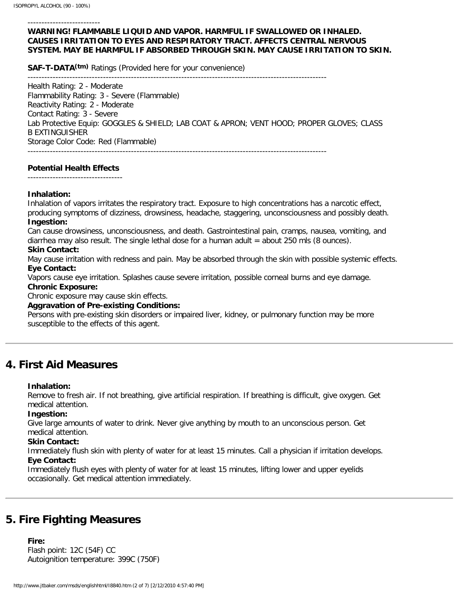--------------------------

### **WARNING! FLAMMABLE LIQUID AND VAPOR. HARMFUL IF SWALLOWED OR INHALED. CAUSES IRRITATION TO EYES AND RESPIRATORY TRACT. AFFECTS CENTRAL NERVOUS SYSTEM. MAY BE HARMFUL IF ABSORBED THROUGH SKIN. MAY CAUSE IRRITATION TO SKIN.**

**SAF-T-DATA(tm)** Ratings (Provided here for your convenience)

-----------------------------------------------------------------------------------------------------------

Health Rating: 2 - Moderate Flammability Rating: 3 - Severe (Flammable) Reactivity Rating: 2 - Moderate Contact Rating: 3 - Severe Lab Protective Equip: GOGGLES & SHIELD; LAB COAT & APRON; VENT HOOD; PROPER GLOVES; CLASS B EXTINGUISHER Storage Color Code: Red (Flammable) -----------------------------------------------------------------------------------------------------------

#### **Potential Health Effects**

#### **Inhalation:**

Inhalation of vapors irritates the respiratory tract. Exposure to high concentrations has a narcotic effect, producing symptoms of dizziness, drowsiness, headache, staggering, unconsciousness and possibly death. **Ingestion:**

Can cause drowsiness, unconsciousness, and death. Gastrointestinal pain, cramps, nausea, vomiting, and diarrhea may also result. The single lethal dose for a human adult  $=$  about 250 mls (8 ounces).

#### **Skin Contact:**

May cause irritation with redness and pain. May be absorbed through the skin with possible systemic effects. **Eye Contact:**

Vapors cause eye irritation. Splashes cause severe irritation, possible corneal burns and eye damage.

#### **Chronic Exposure:**

Chronic exposure may cause skin effects.

#### **Aggravation of Pre-existing Conditions:**

Persons with pre-existing skin disorders or impaired liver, kidney, or pulmonary function may be more susceptible to the effects of this agent.

## **4. First Aid Measures**

#### **Inhalation:**

Remove to fresh air. If not breathing, give artificial respiration. If breathing is difficult, give oxygen. Get medical attention.

#### **Ingestion:**

Give large amounts of water to drink. Never give anything by mouth to an unconscious person. Get medical attention.

#### **Skin Contact:**

Immediately flush skin with plenty of water for at least 15 minutes. Call a physician if irritation develops. **Eye Contact:**

Immediately flush eyes with plenty of water for at least 15 minutes, lifting lower and upper eyelids occasionally. Get medical attention immediately.

## **5. Fire Fighting Measures**

**Fire:** Flash point: 12C (54F) CC Autoignition temperature: 399C (750F)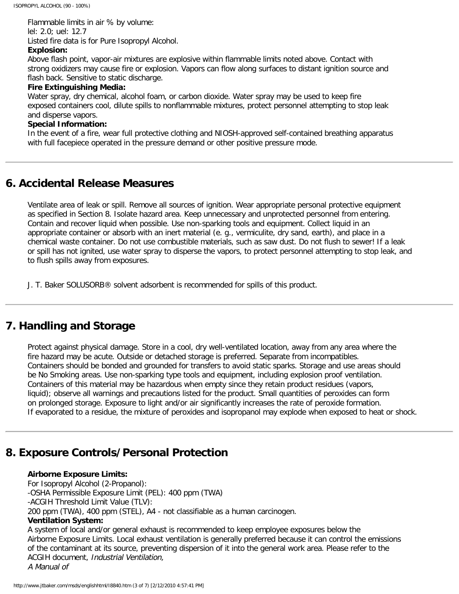Flammable limits in air % by volume: lel: 2.0; uel: 12.7 Listed fire data is for Pure Isopropyl Alcohol.

#### **Explosion:**

Above flash point, vapor-air mixtures are explosive within flammable limits noted above. Contact with strong oxidizers may cause fire or explosion. Vapors can flow along surfaces to distant ignition source and flash back. Sensitive to static discharge.

#### **Fire Extinguishing Media:**

Water spray, dry chemical, alcohol foam, or carbon dioxide. Water spray may be used to keep fire exposed containers cool, dilute spills to nonflammable mixtures, protect personnel attempting to stop leak and disperse vapors.

#### **Special Information:**

In the event of a fire, wear full protective clothing and NIOSH-approved self-contained breathing apparatus with full facepiece operated in the pressure demand or other positive pressure mode.

## **6. Accidental Release Measures**

Ventilate area of leak or spill. Remove all sources of ignition. Wear appropriate personal protective equipment as specified in Section 8. Isolate hazard area. Keep unnecessary and unprotected personnel from entering. Contain and recover liquid when possible. Use non-sparking tools and equipment. Collect liquid in an appropriate container or absorb with an inert material (e. g., vermiculite, dry sand, earth), and place in a chemical waste container. Do not use combustible materials, such as saw dust. Do not flush to sewer! If a leak or spill has not ignited, use water spray to disperse the vapors, to protect personnel attempting to stop leak, and to flush spills away from exposures.

J. T. Baker SOLUSORB® solvent adsorbent is recommended for spills of this product.

## **7. Handling and Storage**

Protect against physical damage. Store in a cool, dry well-ventilated location, away from any area where the fire hazard may be acute. Outside or detached storage is preferred. Separate from incompatibles. Containers should be bonded and grounded for transfers to avoid static sparks. Storage and use areas should be No Smoking areas. Use non-sparking type tools and equipment, including explosion proof ventilation. Containers of this material may be hazardous when empty since they retain product residues (vapors, liquid); observe all warnings and precautions listed for the product. Small quantities of peroxides can form on prolonged storage. Exposure to light and/or air significantly increases the rate of peroxide formation. If evaporated to a residue, the mixture of peroxides and isopropanol may explode when exposed to heat or shock.

## **8. Exposure Controls/Personal Protection**

#### **Airborne Exposure Limits:**

For Isopropyl Alcohol (2-Propanol): -OSHA Permissible Exposure Limit (PEL): 400 ppm (TWA) -ACGIH Threshold Limit Value (TLV): 200 ppm (TWA), 400 ppm (STEL), A4 - not classifiable as a human carcinogen. **Ventilation System:** A system of local and/or general exhaust is recommended to keep employee exposures below the Airborne Exposure Limits. Local exhaust ventilation is generally preferred because it can control the emissions of the contaminant at its source, preventing dispersion of it into the general work area. Please refer to the ACGIH document, Industrial Ventilation,

A Manual of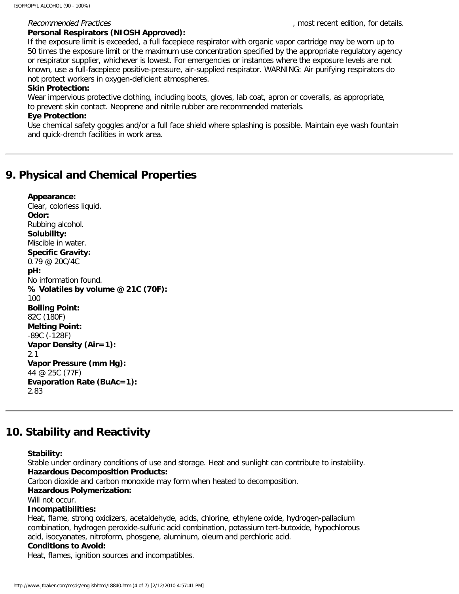#### **Personal Respirators (NIOSH Approved):**

Recommended Practices and the comment of the comment of the comment of the comment of the comment of the comment of the comment of the comment of the comment of the comment of the comment of the comment of the comment of t

If the exposure limit is exceeded, a full facepiece respirator with organic vapor cartridge may be worn up to 50 times the exposure limit or the maximum use concentration specified by the appropriate regulatory agency or respirator supplier, whichever is lowest. For emergencies or instances where the exposure levels are not known, use a full-facepiece positive-pressure, air-supplied respirator. WARNING: Air purifying respirators do not protect workers in oxygen-deficient atmospheres.

#### **Skin Protection:**

Wear impervious protective clothing, including boots, gloves, lab coat, apron or coveralls, as appropriate, to prevent skin contact. Neoprene and nitrile rubber are recommended materials.

#### **Eye Protection:**

Use chemical safety goggles and/or a full face shield where splashing is possible. Maintain eye wash fountain and quick-drench facilities in work area.

## **9. Physical and Chemical Properties**

**Appearance:** Clear, colorless liquid. **Odor:** Rubbing alcohol. **Solubility:** Miscible in water. **Specific Gravity:** 0.79 @ 20C/4C **pH:** No information found. **% Volatiles by volume @ 21C (70F):** 100 **Boiling Point:** 82C (180F) **Melting Point:** -89C (-128F) **Vapor Density (Air=1):** 2.1 **Vapor Pressure (mm Hg):** 44 @ 25C (77F) **Evaporation Rate (BuAc=1):** 2.83

## **10. Stability and Reactivity**

#### **Stability:**

Stable under ordinary conditions of use and storage. Heat and sunlight can contribute to instability. **Hazardous Decomposition Products:**

Carbon dioxide and carbon monoxide may form when heated to decomposition.

#### **Hazardous Polymerization:**

Will not occur.

#### **Incompatibilities:**

Heat, flame, strong oxidizers, acetaldehyde, acids, chlorine, ethylene oxide, hydrogen-palladium combination, hydrogen peroxide-sulfuric acid combination, potassium tert-butoxide, hypochlorous acid, isocyanates, nitroform, phosgene, aluminum, oleum and perchloric acid.

#### **Conditions to Avoid:**

Heat, flames, ignition sources and incompatibles.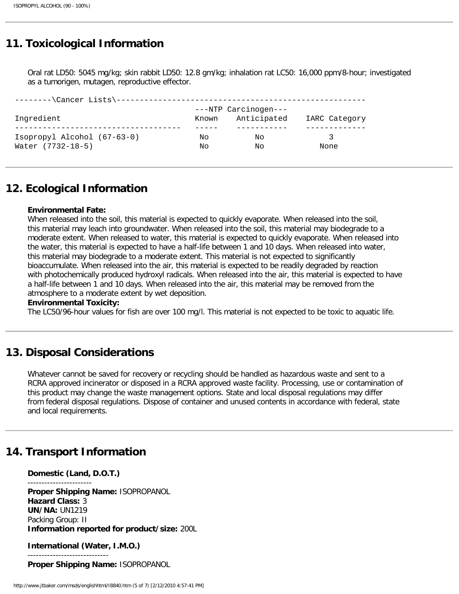## **11. Toxicological Information**

Oral rat LD50: 5045 mg/kg; skin rabbit LD50: 12.8 gm/kg; inhalation rat LC50: 16,000 ppm/8-hour; investigated as a tumorigen, mutagen, reproductive effector.

| $------\Cancer Lists\---$   |                      |             |               |
|-----------------------------|----------------------|-------------|---------------|
|                             | ---NTP Carcinogen--- |             |               |
| Ingredient                  | Known                | Anticipated | IARC Category |
|                             |                      |             |               |
| Isopropyl Alcohol (67-63-0) | Nο                   | Nο          |               |
| Water (7732-18-5)           | Nο                   | Nο          | None          |
|                             |                      |             |               |

## **12. Ecological Information**

#### **Environmental Fate:**

When released into the soil, this material is expected to quickly evaporate. When released into the soil, this material may leach into groundwater. When released into the soil, this material may biodegrade to a moderate extent. When released to water, this material is expected to quickly evaporate. When released into the water, this material is expected to have a half-life between 1 and 10 days. When released into water, this material may biodegrade to a moderate extent. This material is not expected to significantly bioaccumulate. When released into the air, this material is expected to be readily degraded by reaction with photochemically produced hydroxyl radicals. When released into the air, this material is expected to have a half-life between 1 and 10 days. When released into the air, this material may be removed from the atmosphere to a moderate extent by wet deposition.

#### **Environmental Toxicity:**

The LC50/96-hour values for fish are over 100 mg/l. This material is not expected to be toxic to aquatic life.

## **13. Disposal Considerations**

Whatever cannot be saved for recovery or recycling should be handled as hazardous waste and sent to a RCRA approved incinerator or disposed in a RCRA approved waste facility. Processing, use or contamination of this product may change the waste management options. State and local disposal regulations may differ from federal disposal regulations. Dispose of container and unused contents in accordance with federal, state and local requirements.

## **14. Transport Information**

**Domestic (Land, D.O.T.)** ----------------------- **Proper Shipping Name:** ISOPROPANOL **Hazard Class:** 3 **UN/NA:** UN1219 Packing Group: II **Information reported for product/size:** 200L

**International (Water, I.M.O.)**

-----------------------------

**Proper Shipping Name:** ISOPROPANOL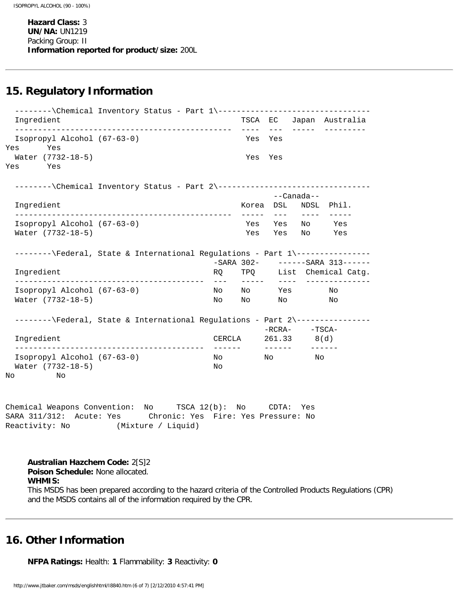**Hazard Class:** 3 **UN/NA:** UN1219 Packing Group: II **Information reported for product/size:** 200L

## **15. Regulatory Information**

```
--------\Chemical Inventory Status - Part 1\-----------------------------------
  Ingredient TSCA EC Japan Australia
  ----------------------------------------------- ---- --- ----- ---------
  Isopropyl Alcohol (67-63-0) Yes Yes 
Yes Yes 
  Water (7732-18-5) Yes Yes 
Yes Yes 
 --------\Chemical Inventory Status - Part 2\-----------------------------------
                                               --Canada--
 Ingredient \blacksquare Korea DSL NDSL Phil.
  ----------------------------------------------- ----- --- ---- -----
  Isopropyl Alcohol (67-63-0) Yes Yes No Yes 
  Water (7732-18-5) Yes Yes No Yes
 --------\Federal, State & International Regulations - Part 1\----------------
                                    -SARA 302- ------SARA 313------
  Ingredient RQ TPQ List Chemical Catg.
  ----------------------------------------- --- ----- ---- --------------
  Isopropyl Alcohol (67-63-0) No No Yes No
 Water (7732-18-5)
 --------\Federal, State & International Regulations - Part 2\----------------
  -RCRA- -TSCA-
 Ingredient CERCLA 261.33 8(d) 
  ----------------------------------------- ------ ------ ------
  Isopropyl Alcohol (67-63-0) No No No 
 Water (7732-18-5) No
No No 
Chemical Weapons Convention: No TSCA 12(b): No CDTA: Yes
SARA 311/312: Acute: Yes Chronic: Yes Fire: Yes Pressure: No
Reactivity: No (Mixture / Liquid)
   Australian Hazchem Code: 2[S]2 
   Poison Schedule: None allocated. 
   WHMIS: 
   This MSDS has been prepared according to the hazard criteria of the Controlled Products Regulations (CPR) 
   and the MSDS contains all of the information required by the CPR.
```
## **16. Other Information**

**NFPA Ratings:** Health: **1** Flammability: **3** Reactivity: **0**